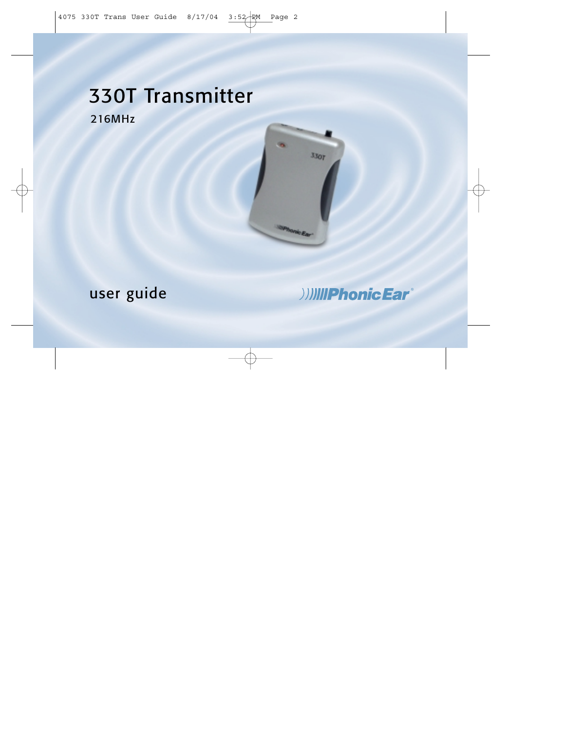# 330T Transmitter 216MHz



# user guide

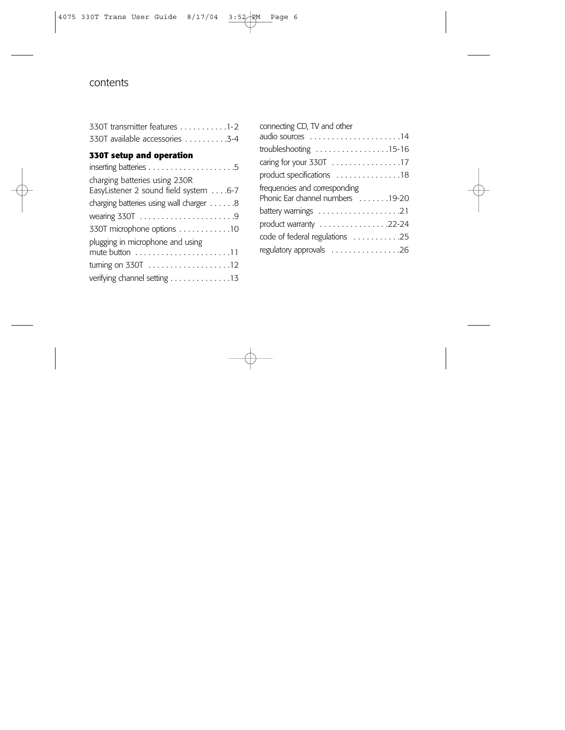## contents

| 330T transmitter features 1-2  |  |
|--------------------------------|--|
| 330T available accessories 3-4 |  |

#### **330T setup and operation**

| charging batteries using 230R<br>EasyListener 2 sound field system 6-7 |
|------------------------------------------------------------------------|
| charging batteries using wall charger 8                                |
|                                                                        |
| 330T microphone options 10                                             |
| plugging in microphone and using<br>mute button 11                     |
| turning on 330T 12                                                     |
| verifying channel setting 13                                           |

| connecting CD, TV and other                                |
|------------------------------------------------------------|
|                                                            |
| troubleshooting $\ldots \ldots \ldots \ldots \ldots 15-16$ |
| caring for your 330T 17                                    |
| product specifications 18                                  |
| frequencies and corresponding                              |
| Phonic Ear channel numbers 19-20                           |
| battery warnings 21                                        |
| product warranty 22-24                                     |
| code of federal regulations 25                             |
| regulatory approvals 26                                    |
|                                                            |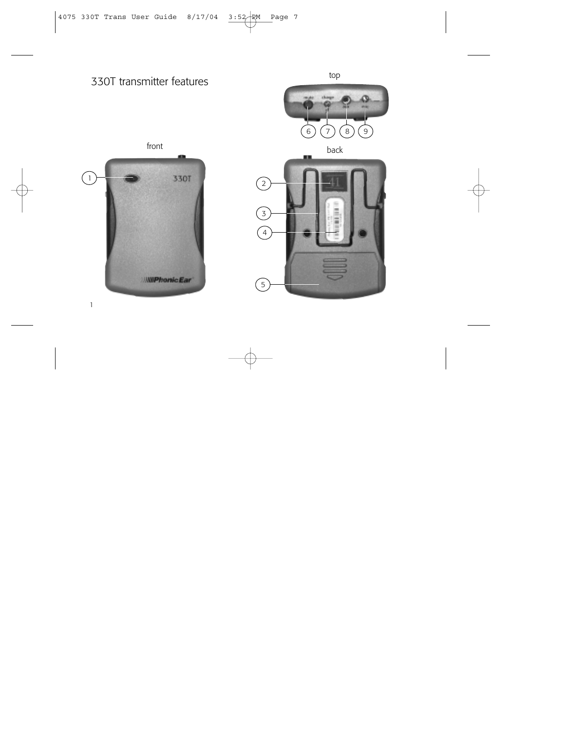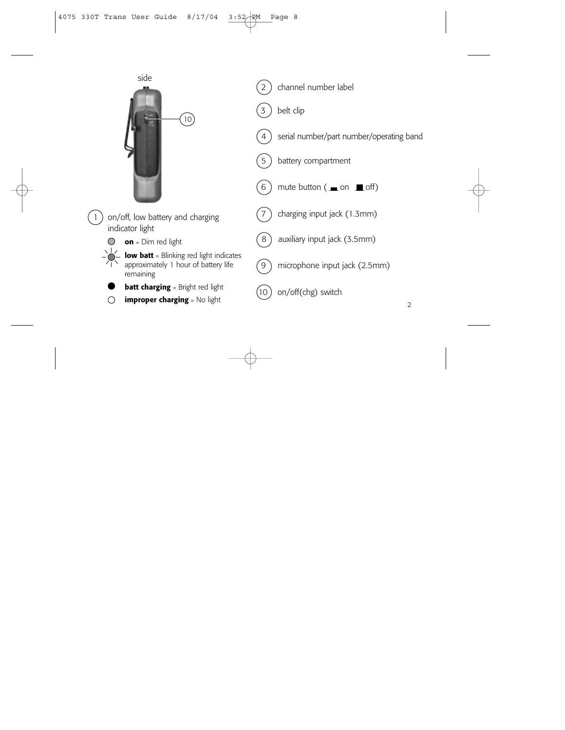

on/off, low battery and charging indicator light

- **on** = Dim red light
- **low batt** = Blinking red light indicates approximately 1 hour of battery life remaining
- **batt charging** = Bright red light
- **improper charging** = No light ∩
- channel number label
- belt clip



- serial number/part number/operating band
- battery compartment



mute button ( $\equiv$  on  $\equiv$  off)



charging input jack (1.3mm)



8) auxiliary input jack (3.5mm)



microphone input jack (2.5mm)



 $(10)$  on/off(chg) switch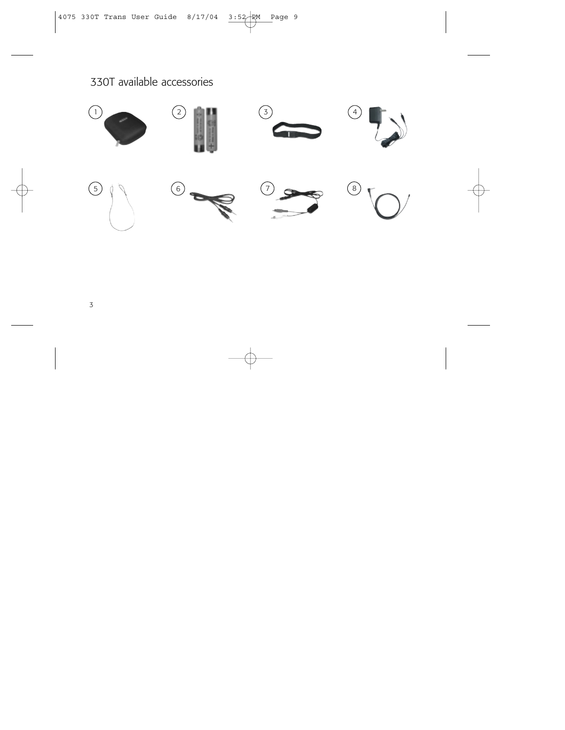# 330T available accessories

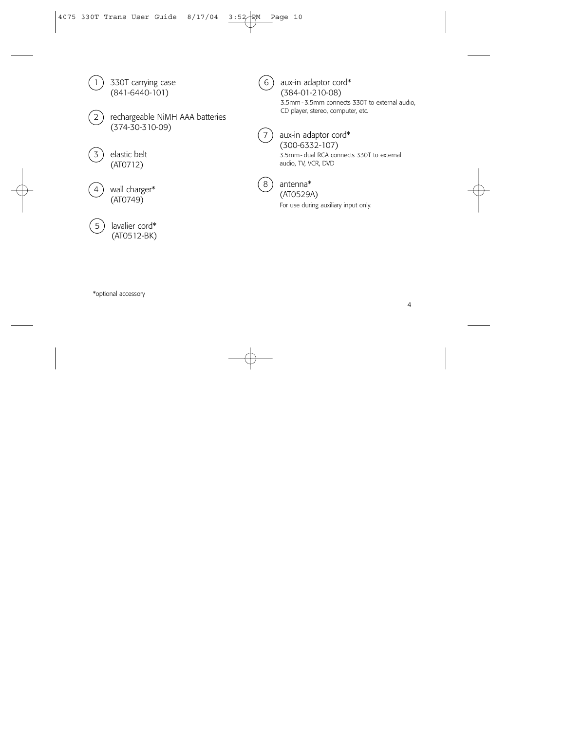

- 
- rechargeable NiMH AAA batteries (374-30-310-09)
- elastic belt (AT0712)
- wall charger\* (AT0749)



 $(6)$  aux-in adaptor cord\* (384-01-210-08) 3.5mm - 3.5mm connects 330T to external audio, CD player, stereo, computer, etc.



aux-in adaptor cord\* (300-6332-107) 3.5mm- dual RCA connects 330T to external audio, TV, VCR, DVD



#### 8 antenna\* (AT0529A)

For use during auxiliary input only.

\*optional accessory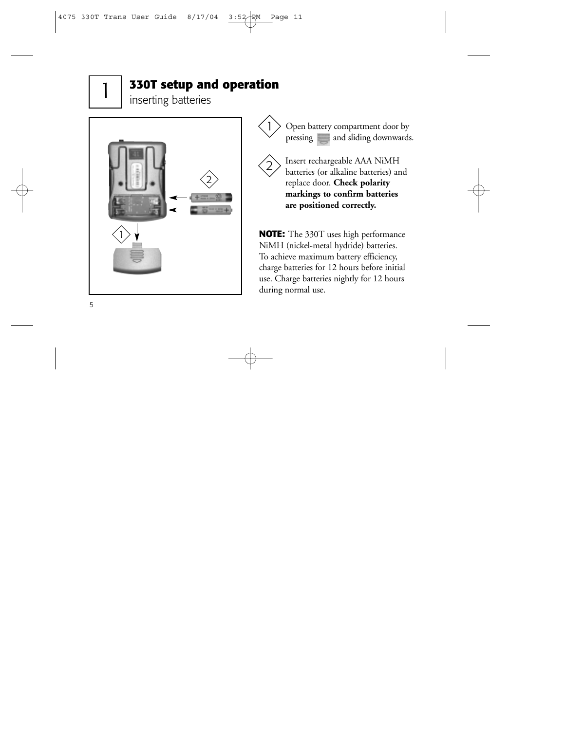# **330T setup and operation**

inserting batteries



Open battery compartment door by pressing and sliding downwards.



1

Insert rechargeable AAA NiMH batteries (or alkaline batteries) and replace door. **Check polarity markings to confirm batteries are positioned correctly.**

**NOTE:** The 330T uses high performance NiMH (nickel-metal hydride) batteries. To achieve maximum battery efficiency, charge batteries for 12 hours before initial use. Charge batteries nightly for 12 hours during normal use.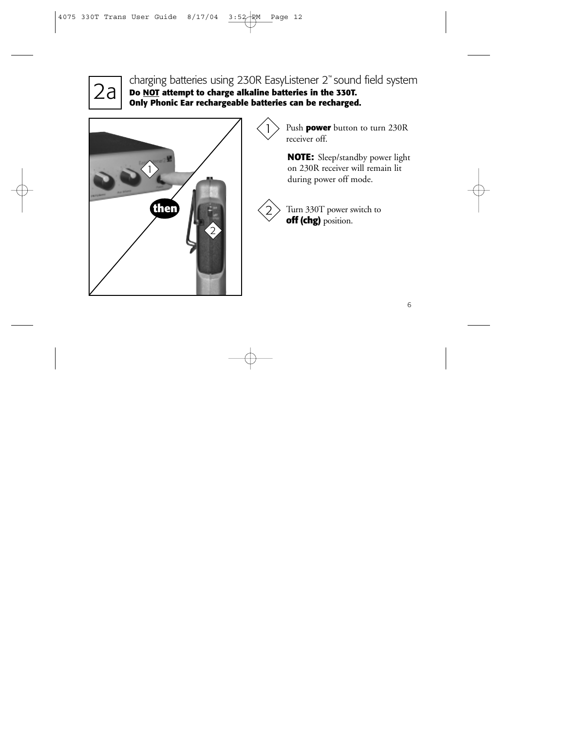

Ta charging batteries using 230R EasyListener 2™ sound field system<br>2a **Do NOT** attempt to charge alkaline batteries in the 330T. **Do NOT attempt to charge alkaline batteries in the 330T. Only Phonic Ear rechargeable batteries can be recharged.**

1



Push **power** button to turn 230R receiver off.

**NOTE:** Sleep/standby power light on 230R receiver will remain lit during power off mode.



Turn 330T power switch to **off (chg)** position.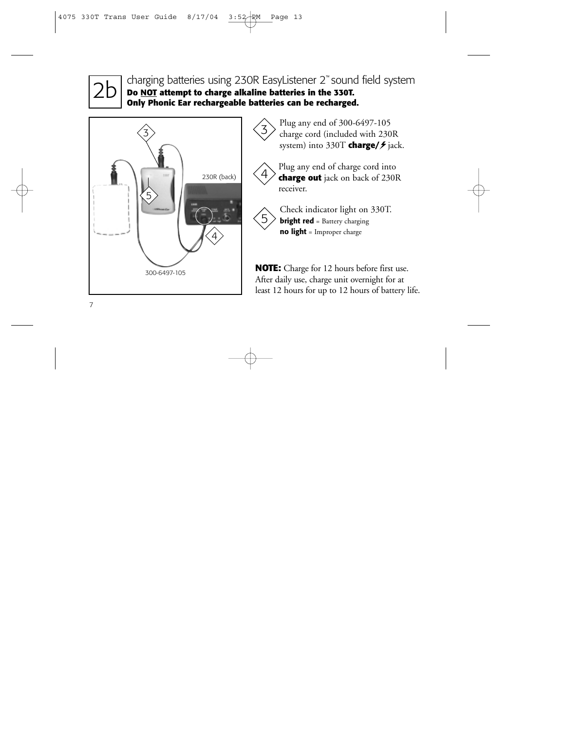2b charging batteries using 230R EasyListener 2™ sound field system **Do NOT attempt to charge alkaline batteries in the 330T. Only Phonic Ear rechargeable batteries can be recharged.**



 $\left\{\frac{3}{5}\right\}$  Plug any end of 300-6497-105<br>charge cord (included with 230R system) into 330T **charge/**  $\neq$  jack.



Plug any end of charge cord into **charge out** jack on back of 230R receiver.



Check indicator light on 330T. **bright red** = Battery charging **no light** = Improper charge

**NOTE:** Charge for 12 hours before first use. After daily use, charge unit overnight for at least 12 hours for up to 12 hours of battery life.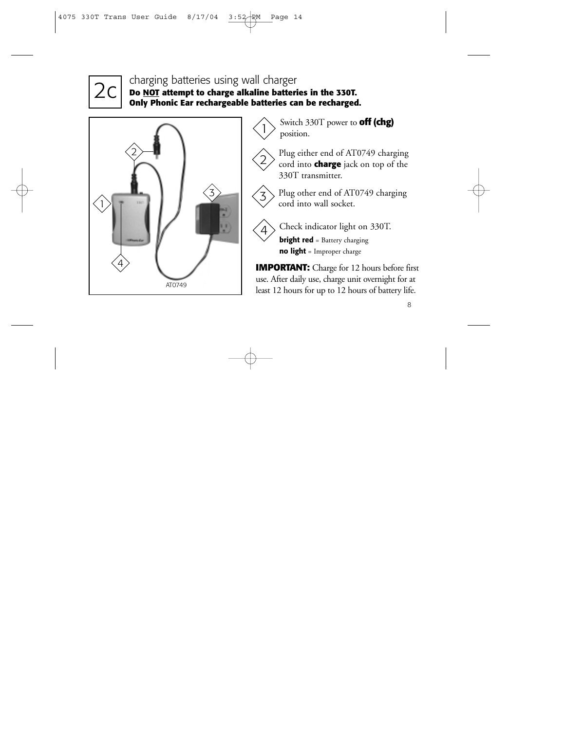

# **Do Charging batteries using wall charger**<br> **Do NOT** attempt to charge alkaline batteries in the 330T.<br> **Only Phonic Ear rechargeable batteries can be recharged Only Phonic Ear rechargeable batteries can be recharged.**



Switch 330T power to **off (chg)** position.

Plug either end of AT0749 charging cord into **charge** jack on top of the 330T transmitter.

 $\frac{3}{3}$  Plug other end of AT0749 charging<br>cord into wall socket.



2

Check indicator light on 330T.

**bright red** = Battery charging **no light** = Improper charge

**IMPORTANT:** Charge for 12 hours before first use. After daily use, charge unit overnight for at least 12 hours for up to 12 hours of battery life.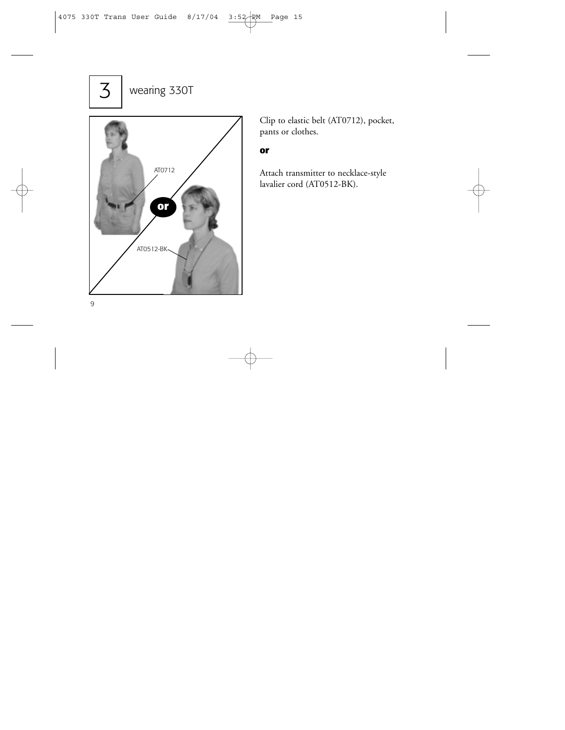# 3 wearing 330T



Clip to elastic belt (AT0712), pocket, pants or clothes.

#### **or**

Attach transmitter to necklace-style lavalier cord (AT0512-BK).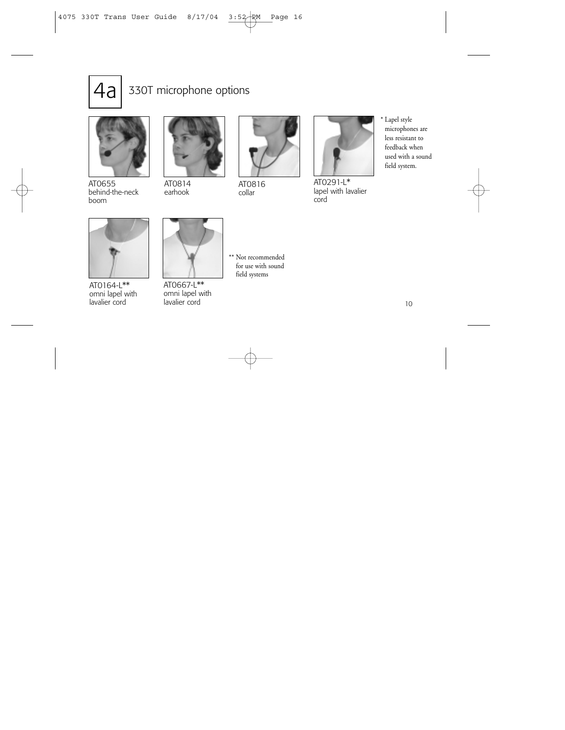

# 330T microphone options



AT0655 behind-the-neck boom



AT0814 earhook



AT0816 collar



AT0291-L\* lapel with lavalier cord

\* Lapel style microphones are less resistant to feedback when used with a sound field system.



AT0164-L\*\* omni lapel with lavalier cord



AT0667-L\*\* omni lapel with lavalier cord

\*\* Not recommended for use with sound field systems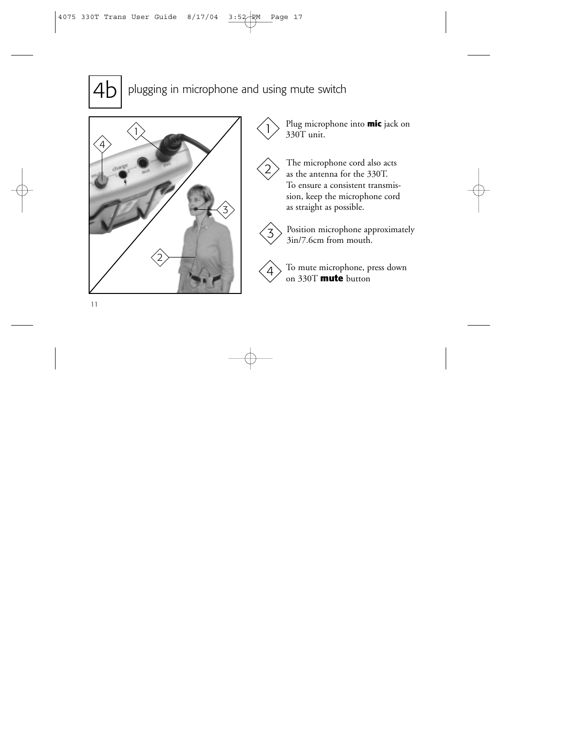

plugging in microphone and using mute switch





330T unit.

The microphone cord also acts as the antenna for the 330T. To ensure a consistent transmission, keep the microphone cord as straight as possible.



2

Position microphone approximately 3in/7.6cm from mouth. 3



To mute microphone, press down on 330T **mute** button 4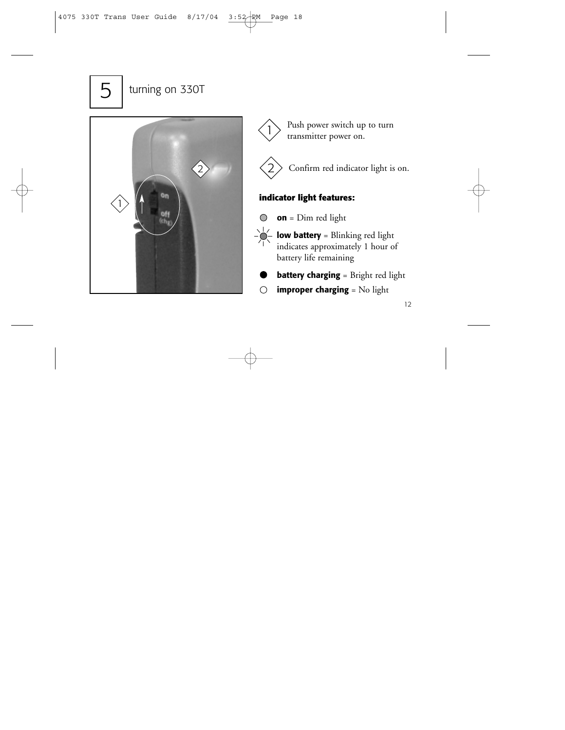# 5 | turning on 330T







Confirm red indicator light is on.

### **indicator light features:**

- **on** = Dim red light  $\bigcirc$
- **low battery** = Blinking red light indicates approximately 1 hour of battery life remaining
- **battery charging** = Bright red light
- **improper charging** = No light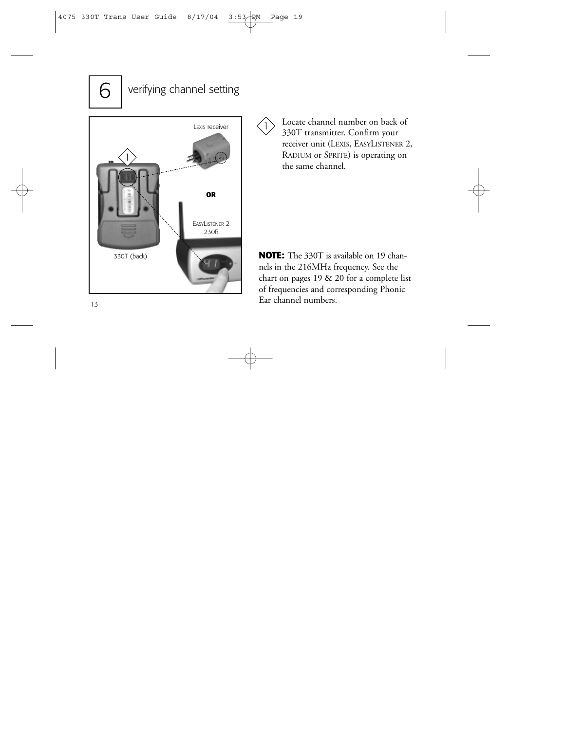# $6$  verifying channel setting



Locate channel number on back of 330T transmitter. Confirm your receiver unit (LEXIS, EASYLISTENER 2, RADIUM or SPRITE) is operating on the same channel.

 $\mathbf{I}$ 

330T (back) **NOTE:** The 330T is available on 19 channels in the 216MHz frequency. See the chart on pages 19 & 20 for a complete list of frequencies and corresponding Phonic Ear channel numbers.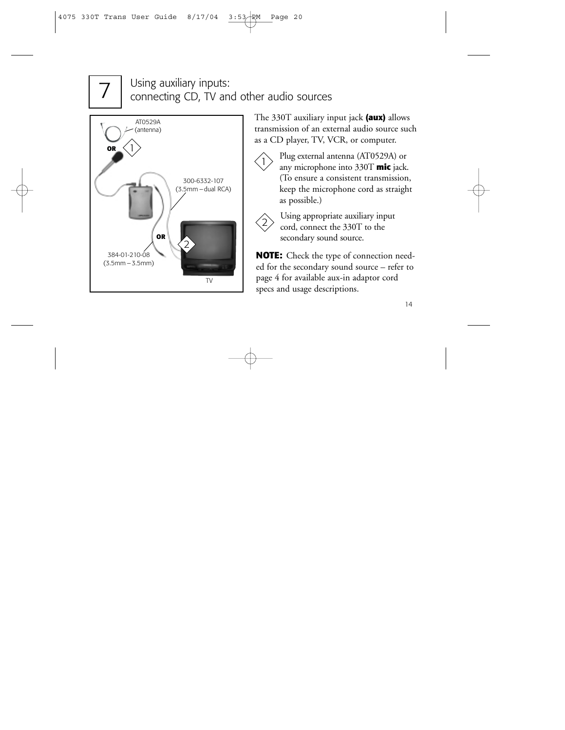# 7

# Using auxiliary inputs: connecting CD, TV and other audio sources



The 330T auxiliary input jack **(aux)** allows transmission of an external audio source such as a CD player, TV, VCR, or computer.

 $\left| \right|$ 

Plug external antenna (AT0529A) or any microphone into 330T **mic** jack. (To ensure a consistent transmission, keep the microphone cord as straight as possible.)



Using appropriate auxiliary input cord, connect the 330T to the secondary sound source.

**NOTE:** Check the type of connection needed for the secondary sound source – refer to page 4 for available aux-in adaptor cord specs and usage descriptions.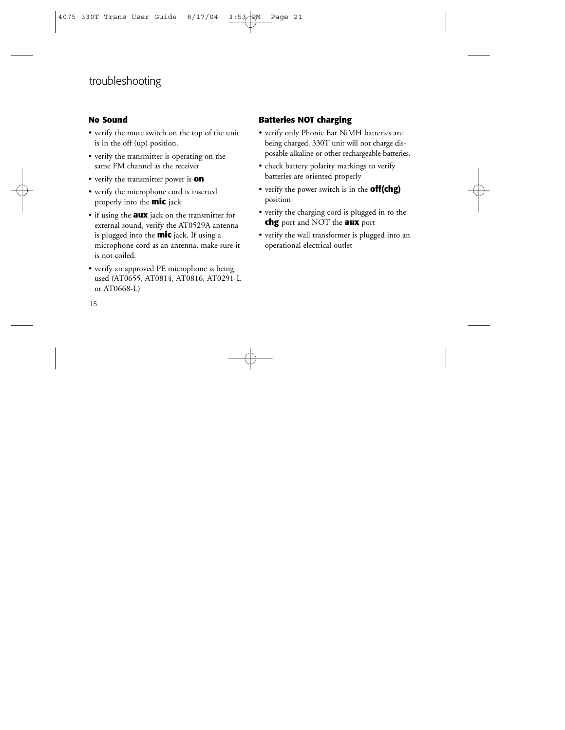# troubleshooting

#### **No Sound**

- verify the mute switch on the top of the unit is in the off (up) position.
- verify the transmitter is operating on the same FM channel as the receiver
- verify the transmitter power is **on**
- verify the microphone cord is inserted properly into the **mic** jack
- if using the **aux** jack on the transmitter for external sound, verify the AT0529A antenna is plugged into the **mic** jack. If using a microphone cord as an antenna, make sure it is not coiled.
- verify an approved PE microphone is being used (AT0655, AT0814, AT0816, AT0291-L or AT0668-L)

### **Batteries NOT charging**

- verify only Phonic Ear NiMH batteries are being charged. 330T unit will not charge disposable alkaline or other rechargeable batteries.
- check battery polarity markings to verify batteries are oriented properly
- verify the power switch is in the **off(chg)** position
- verify the charging cord is plugged in to the **chg** port and NOT the **aux** port
- verify the wall transformer is plugged into an operational electrical outlet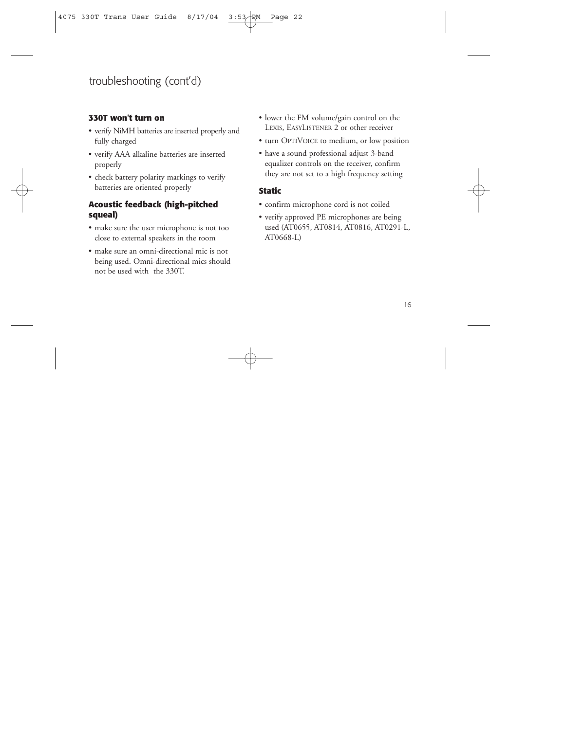# troubleshooting (cont'd)

#### **330T won't turn on**

- verify NiMH batteries are inserted properly and fully charged
- verify AAA alkaline batteries are inserted properly
- check battery polarity markings to verify batteries are oriented properly

#### **Acoustic feedback (high-pitched squeal)**

- make sure the user microphone is not too close to external speakers in the room
- make sure an omni-directional mic is not being used. Omni-directional mics should not be used with the 330T.
- lower the FM volume/gain control on the LEXIS, EASYLISTENER 2 or other receiver
- turn OPTIVOICE to medium, or low position
- have a sound professional adjust 3-band equalizer controls on the receiver, confirm they are not set to a high frequency setting

#### **Static**

- confirm microphone cord is not coiled
- verify approved PE microphones are being used (AT0655, AT0814, AT0816, AT0291-L, AT0668-L)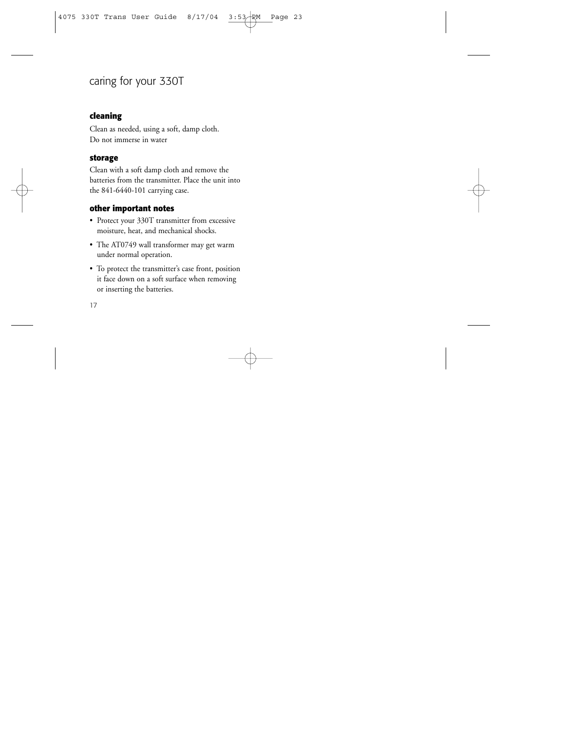# caring for your 330T

#### **cleaning**

Clean as needed, using a soft, damp cloth. Do not immerse in water

#### **storage**

Clean with a soft damp cloth and remove the batteries from the transmitter. Place the unit into the 841-6440-101 carrying case.

#### **other important notes**

- Protect your 330T transmitter from excessive moisture, heat, and mechanical shocks.
- The AT0749 wall transformer may get warm under normal operation.
- To protect the transmitter's case front, position it face down on a soft surface when removing or inserting the batteries.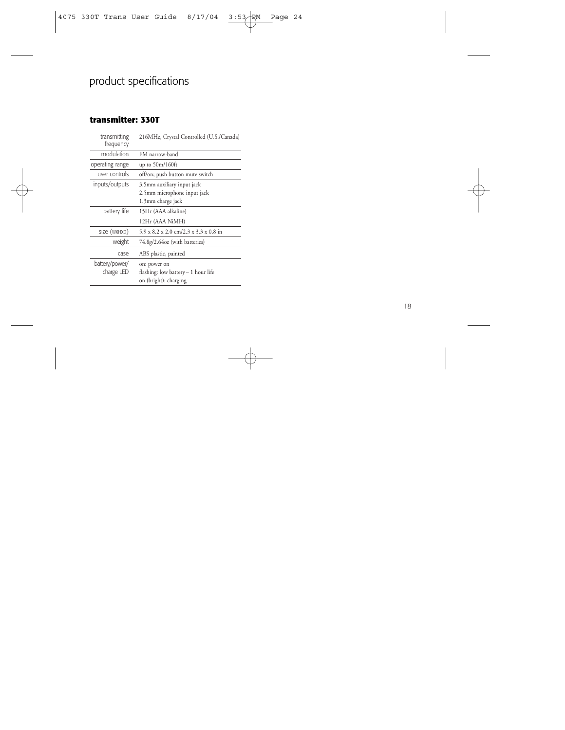# product specifications

#### **transmitter: 330T**

| transmitting<br>frequency                         | 216MHz, Crystal Controlled (U.S./Canada)                        |  |
|---------------------------------------------------|-----------------------------------------------------------------|--|
| modulation                                        | FM narrow-band                                                  |  |
| operating range                                   | up to $50m/160ft$                                               |  |
| user controls                                     | off/on; push button mute switch                                 |  |
| inputs/outputs                                    | 3.5mm auxiliary input jack                                      |  |
|                                                   | 2.5mm microphone input jack                                     |  |
|                                                   | 1.3mm charge jack                                               |  |
| battery life                                      | 15Hr (AAA alkaline)                                             |  |
|                                                   | 12Hr (AAA NiMH)                                                 |  |
| size (WXHXD)                                      | $5.9 \times 8.2 \times 2.0$ cm/2.3 $\times$ 3.3 $\times$ 0.8 in |  |
| weight                                            | 74.8g/2.64oz (with batteries)                                   |  |
| case.                                             | ABS plastic, painted                                            |  |
| battery/power/                                    | on: power on                                                    |  |
| charge LED<br>flashing: low battery - 1 hour life |                                                                 |  |
|                                                   | on (bright): charging                                           |  |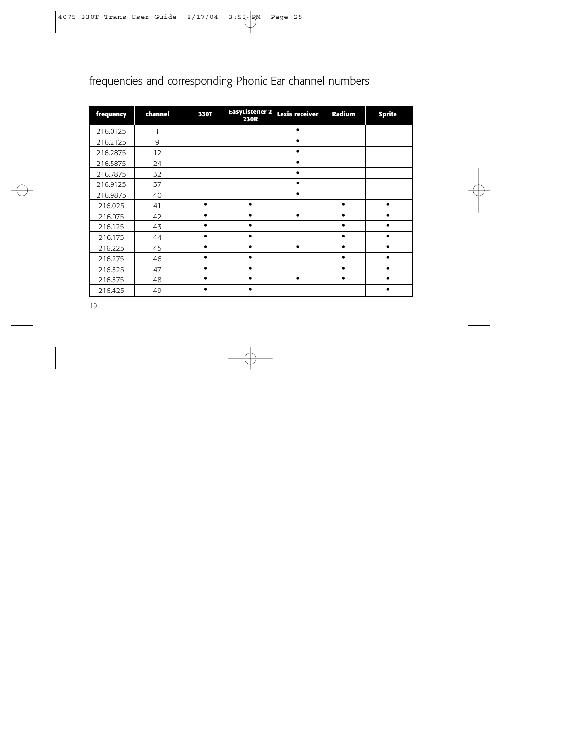# frequencies and corresponding Phonic Ear channel numbers

| frequency | channel | <b>330T</b> | EasyListener 2<br><b>230R</b> | <b>Lexis receiver</b> | Radium    | <b>Sprite</b> |
|-----------|---------|-------------|-------------------------------|-----------------------|-----------|---------------|
| 216.0125  |         |             |                               | $\bullet$             |           |               |
| 216.2125  | 9       |             |                               |                       |           |               |
| 216.2875  | 12      |             |                               |                       |           |               |
| 216.5875  | 24      |             |                               |                       |           |               |
| 216.7875  | 32      |             |                               | $\bullet$             |           |               |
| 216.9125  | 37      |             |                               | $\bullet$             |           |               |
| 216.9875  | 40      |             |                               | $\bullet$             |           |               |
| 216.025   | 41      | $\bullet$   | $\bullet$                     |                       | $\bullet$ | $\bullet$     |
| 216.075   | 42      |             | $\bullet$                     | $\bullet$             |           |               |
| 216.125   | 43      |             |                               |                       |           |               |
| 216.175   | 44      |             |                               |                       |           |               |
| 216.225   | 45      |             |                               | ٠                     |           |               |
| 216.275   | 46      |             |                               |                       |           |               |
| 216.325   | 47      |             | $\bullet$                     |                       | $\bullet$ |               |
| 216.375   | 48      |             | $\bullet$                     | ٠                     | $\bullet$ |               |
| 216.425   | 49      |             |                               |                       |           |               |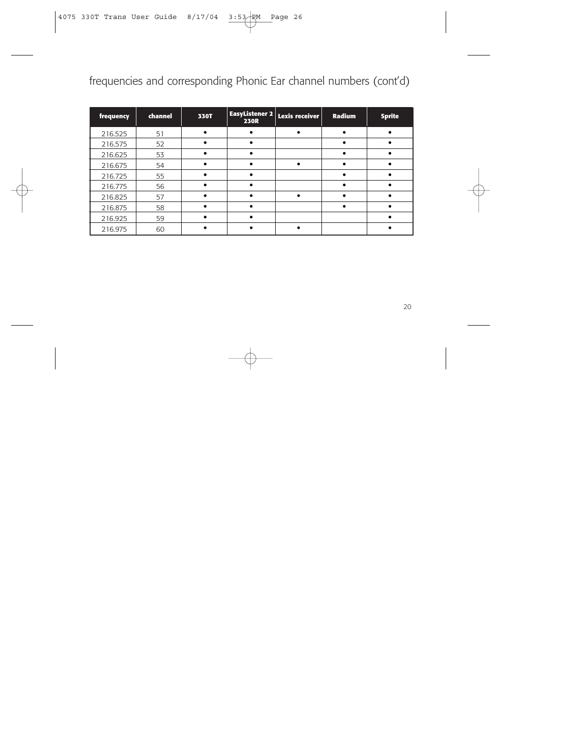# frequencies and corresponding Phonic Ear channel numbers (cont'd)

| frequency | channel | 330T | <b>EasyListener 2</b><br><b>230R</b> | Lexis receiver | Radium | <b>Sprite</b> |
|-----------|---------|------|--------------------------------------|----------------|--------|---------------|
| 216.525   | 51      |      |                                      |                |        |               |
| 216.575   | 52      |      |                                      |                |        |               |
| 216.625   | 53      |      |                                      |                |        |               |
| 216.675   | 54      |      |                                      |                |        |               |
| 216.725   | 55      |      |                                      |                |        |               |
| 216.775   | 56      |      |                                      |                |        |               |
| 216.825   | 57      |      |                                      |                |        |               |
| 216.875   | 58      |      |                                      |                |        |               |
| 216.925   | 59      |      |                                      |                |        |               |
| 216.975   | 60      |      |                                      |                |        |               |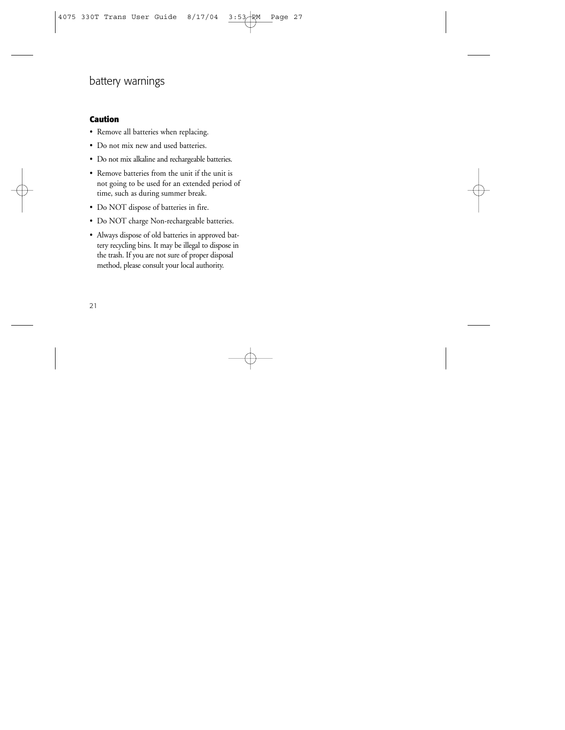# battery warnings

#### **Caution**

- Remove all batteries when replacing.
- Do not mix new and used batteries.
- Do not mix alkaline and rechargeable batteries.
- Remove batteries from the unit if the unit is not going to be used for an extended period of time, such as during summer break.
- Do NOT dispose of batteries in fire.
- Do NOT charge Non-rechargeable batteries.
- Always dispose of old batteries in approved battery recycling bins. It may be illegal to dispose in the trash. If you are not sure of proper disposal method, please consult your local authority.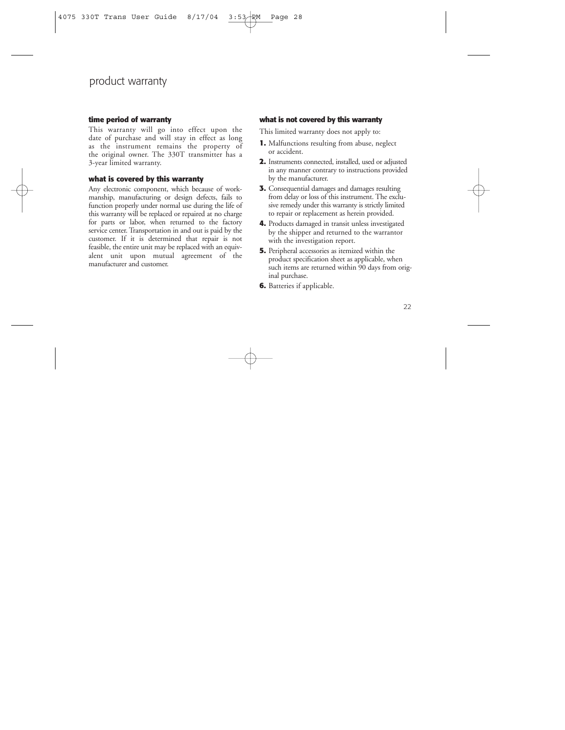## product warranty

#### **time period of warranty**

This warranty will go into effect upon the date of purchase and will stay in effect as long as the instrument remains the property of the original owner. The 330T transmitter has a 3-year limited warranty.

#### **what is covered by this warranty**

Any electronic component, which because of workmanship, manufacturing or design defects, fails to function properly under normal use during the life of this warranty will be replaced or repaired at no charge for parts or labor, when returned to the factory service center. Transportation in and out is paid by the customer. If it is determined that repair is not feasible, the entire unit may be replaced with an equivalent unit upon mutual agreement of the manufacturer and customer.

#### **what is not covered by this warranty**

This limited warranty does not apply to:

- **1.** Malfunctions resulting from abuse, neglect or accident.
- **2.** Instruments connected, installed, used or adjusted in any manner contrary to instructions provided by the manufacturer.
- **3.** Consequential damages and damages resulting from delay or loss of this instrument. The exclusive remedy under this warranty is strictly limited to repair or replacement as herein provided.
- **4.** Products damaged in transit unless investigated by the shipper and returned to the warrantor with the investigation report.
- **5.** Peripheral accessories as itemized within the product specification sheet as applicable, when such items are returned within 90 days from original purchase.
- **6.** Batteries if applicable.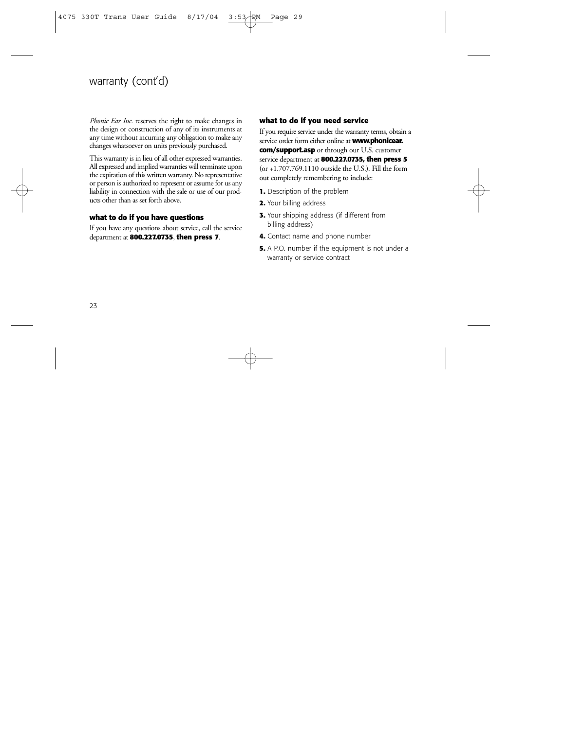# warranty (cont'd)

*Phonic Ear Inc.* reserves the right to make changes in the design or construction of any of its instruments at any time without incurring any obligation to make any changes whatsoever on units previously purchased.

This warranty is in lieu of all other expressed warranties. All expressed and implied warranties will terminate upon the expiration of this written warranty. No representative or person is authorized to represent or assume for us any liability in connection with the sale or use of our products other than as set forth above.

#### **what to do if you have questions**

If you have any questions about service, call the service department at **800.227.0735**, **then press 7**.

#### **what to do if you need service**

If you require service under the warranty terms, obtain a service order form either online at **www.phonicear. com/support.asp** or through our U.S. customer service department at **800.227.0735, then press 5**  $($ or  $+1.707.769.1110$  outside the U.S.). Fill the form out completely remembering to include:

- **1.** Description of the problem
- **2.** Your billing address
- **3.** Your shipping address (if different from billing address)
- **4.** Contact name and phone number
- **5.** A P.O. number if the equipment is not under a warranty or service contract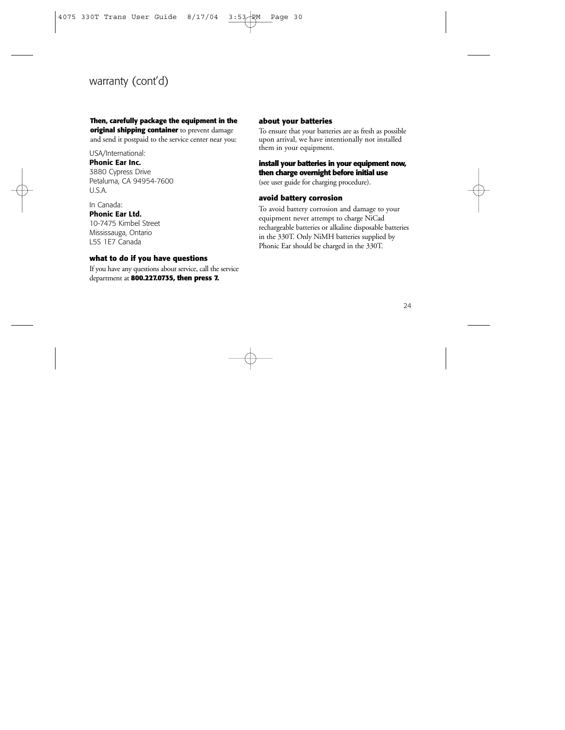# warranty (cont'd)

#### **Then, carefully package the equipment in the original shipping container** to prevent damage and send it postpaid to the service center near you:

USA/International:

#### **Phonic Ear Inc.**

3880 Cypress Drive Petaluma, CA 94954-7600 U.S.A.

In Canada: **Phonic Ear Ltd.** 10-7475 Kimbel Street Mississauga, Ontario L5S 1E7 Canada

#### **what to do if you have questions**

If you have any questions about service, call the service department at **800.227.0735, then press 7.**

#### **about your batteries**

To ensure that your batteries are as fresh as possible upon arrival, we have intentionally not installed them in your equipment.

#### **install your batteries in your equipment now, then charge overnight before initial use**

(see user guide for charging procedure).

#### **avoid battery corrosion**

To avoid battery corrosion and damage to your equipment never attempt to charge NiCad rechargeable batteries or alkaline disposable batteries in the 330T. Only NiMH batteries supplied by Phonic Ear should be charged in the 330T.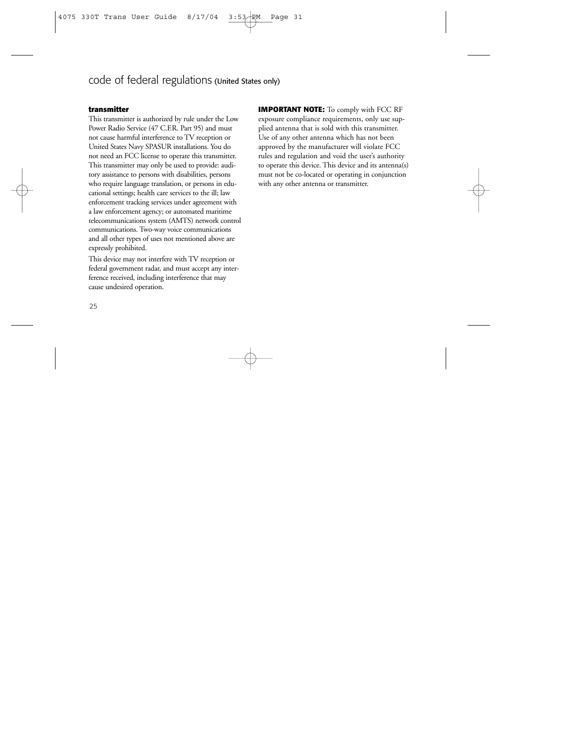## code of federal regulations (United States only)

#### **transmitter**

This transmitter is authorized by rule under the Low Power Radio Service (47 C.F.R. Part 95) and must not cause harmful interference to TV reception or United States Navy SPASUR installations. You do not need an FCC license to operate this transmitter. This transmitter may only be used to provide: auditory assistance to persons with disabilities, persons who require language translation, or persons in educational settings; health care services to the ill; law enforcement tracking services under agreement with a law enforcement agency; or automated maritime telecommunications system (AMTS) network control communications. Two-way voice communications and all other types of uses not mentioned above are expressly prohibited.

This device may not interfere with TV reception or federal government radar, and must accept any interference received, including interference that may cause undesired operation.

**IMPORTANT NOTE:** To comply with FCC RF exposure compliance requirements, only use supplied antenna that is sold with this transmitter. Use of any other antenna which has not been approved by the manufacturer will violate FCC rules and regulation and void the user's authority to operate this device. This device and its antenna(s) must not be co-located or operating in conjunction with any other antenna or transmitter.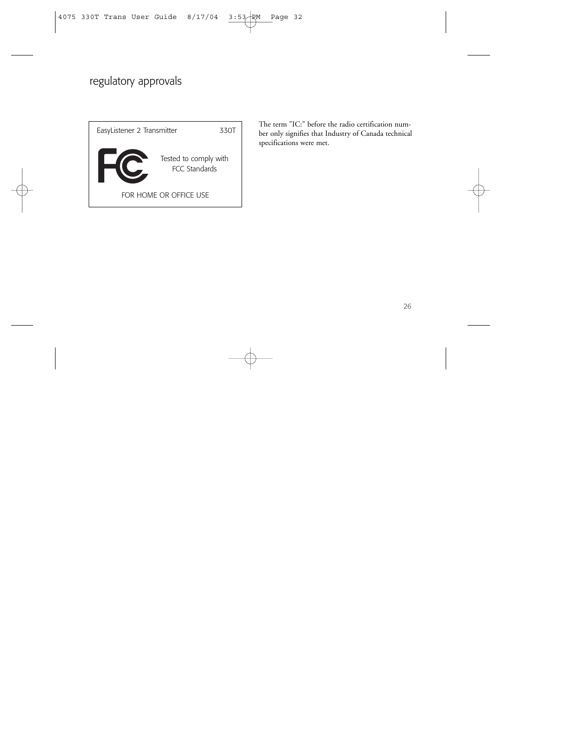# regulatory approvals



The term "IC:" before the radio certification number only signifies that Industry of Canada technical specifications were met.